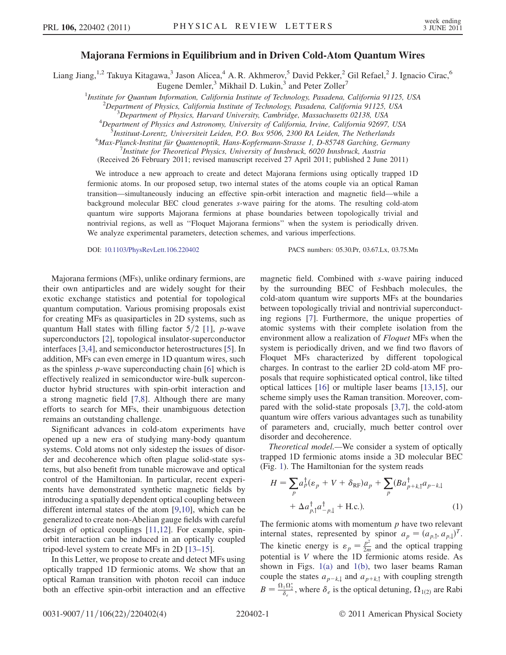## Majorana Fermions in Equilibrium and in Driven Cold-Atom Quantum Wires

Liang Jiang,<sup>1,2</sup> Takuya Kitagawa,<sup>3</sup> Jason Alicea,<sup>4</sup> A. R. Akhmerov,<sup>5</sup> David Pekker,<sup>2</sup> Gil Refael,<sup>2</sup> J. Ignacio Cirac,<sup>6</sup> Eugene Demler,<sup>3</sup> Mikhail D. Lukin,<sup>3</sup> and Peter Zoller<sup>7</sup>

<sup>1</sup>Institute for Quantum Information, California Institute of Technology, Pasadena, California 91125, USA <sup>2</sup>Department of Physics, California perturbation of Physics California 1125, USA  $^2$ Department of Physics, California Institute of Technology, Pasadena, California 91125, USA

 $\beta$ Department of Physics, Harvard University, Cambridge, Massachusetts 02138, USA

 ${}^{4}$ Department of Physics and Astronomy, University of California, Irvine, California 92697, USA

 $^5$ Instituut-Lorentz, Universiteit Leiden, P.O. Box 9506, 2300 RA Leiden, The Netherlands

 $^6$ Max-Planck-Institut für Quantenoptik, Hans-Kopfermann-Strasse 1, D-85748 Garching, Germany

<sup>7</sup>Institute for Theoretical Physics, University of Innsbruck, 6020 Innsbruck, Austria

(Received 26 February 2011; revised manuscript received 27 April 2011; published 2 June 2011)

We introduce a new approach to create and detect Majorana fermions using optically trapped 1D fermionic atoms. In our proposed setup, two internal states of the atoms couple via an optical Raman transition—simultaneously inducing an effective spin-orbit interaction and magnetic field—while a background molecular BEC cloud generates s-wave pairing for the atoms. The resulting cold-atom quantum wire supports Majorana fermions at phase boundaries between topologically trivial and nontrivial regions, as well as ''Floquet Majorana fermions'' when the system is periodically driven. We analyze experimental parameters, detection schemes, and various imperfections.

DOI: [10.1103/PhysRevLett.106.220402](http://dx.doi.org/10.1103/PhysRevLett.106.220402) PACS numbers: 05.30.Pr, 03.67.Lx, 03.75.Mn

Majorana fermions (MFs), unlike ordinary fermions, are their own antiparticles and are widely sought for their exotic exchange statistics and potential for topological quantum computation. Various promising proposals exist for creating MFs as quasiparticles in 2D systems, such as quantum Hall states with filling factor  $5/2$  [\[1](#page-3-0)], p-wave superconductors [\[2\]](#page-3-1), topological insulator-superconductor interfaces [[3](#page-3-2)[,4\]](#page-3-3), and semiconductor heterostructures [[5\]](#page-3-4). In addition, MFs can even emerge in 1D quantum wires, such as the spinless p-wave superconducting chain [\[6\]](#page-3-5) which is effectively realized in semiconductor wire-bulk superconductor hybrid structures with spin-orbit interaction and a strong magnetic field [\[7,](#page-3-6)[8](#page-3-7)]. Although there are many efforts to search for MFs, their unambiguous detection remains an outstanding challenge.

Significant advances in cold-atom experiments have opened up a new era of studying many-body quantum systems. Cold atoms not only sidestep the issues of disorder and decoherence which often plague solid-state systems, but also benefit from tunable microwave and optical control of the Hamiltonian. In particular, recent experiments have demonstrated synthetic magnetic fields by introducing a spatially dependent optical coupling between different internal states of the atom [[9](#page-3-8)[,10\]](#page-3-9), which can be generalized to create non-Abelian gauge fields with careful design of optical couplings [[11](#page-3-10),[12](#page-3-11)]. For example, spinorbit interaction can be induced in an optically coupled tripod-level system to create MFs in 2D [[13](#page-3-12)[–15\]](#page-3-13).

In this Letter, we propose to create and detect MFs using optically trapped 1D fermionic atoms. We show that an optical Raman transition with photon recoil can induce both an effective spin-orbit interaction and an effective magnetic field. Combined with s-wave pairing induced by the surrounding BEC of Feshbach molecules, the cold-atom quantum wire supports MFs at the boundaries between topologically trivial and nontrivial superconducting regions [[7\]](#page-3-6). Furthermore, the unique properties of atomic systems with their complete isolation from the environment allow a realization of *Floquet* MFs when the system is periodically driven, and we find two flavors of Floquet MFs characterized by different topological charges. In contrast to the earlier 2D cold-atom MF proposals that require sophisticated optical control, like tilted optical lattices [[16](#page-3-14)] or multiple laser beams [[13,](#page-3-12)[15](#page-3-13)], our scheme simply uses the Raman transition. Moreover, compared with the solid-state proposals [\[3](#page-3-2)[,7](#page-3-6)], the cold-atom quantum wire offers various advantages such as tunability of parameters and, crucially, much better control over disorder and decoherence.

Theoretical model.—We consider a system of optically trapped 1D fermionic atoms inside a 3D molecular BEC (Fig. [1](#page-1-0)). The Hamiltonian for the system reads

$$
H = \sum_{p} a_p^{\dagger} (\varepsilon_p + V + \delta_{\text{RF}}) a_p + \sum_{p} (B a_{p+k,1}^{\dagger} a_{p-k,1} + \Delta a_{p,1}^{\dagger} a_{p-1}^{\dagger} + \text{H.c.}).
$$
\n(1)

The fermionic atoms with momentum  $p$  have two relevant internal states, represented by spinor  $a_p = (a_{p,1}, a_{p,1})^T$ . The kinetic energy is  $\varepsilon_p = \frac{p^2}{2m}$  and the optical trapping<br>potential is V where the 1D fermionic atoms reside. As potential is V where the 1D fermionic atoms reside. As shown in Figs.  $1(a)$  and  $1(b)$ , two laser beams Raman couple the states  $a_{p-k,1}$  and  $a_{p+k,1}$  with coupling strength  $B = \frac{\Omega_1 \Omega_2^*}{\delta_e}$ , where  $\delta_e$  is the optical detuning,  $\Omega_{1(2)}$  are Rabi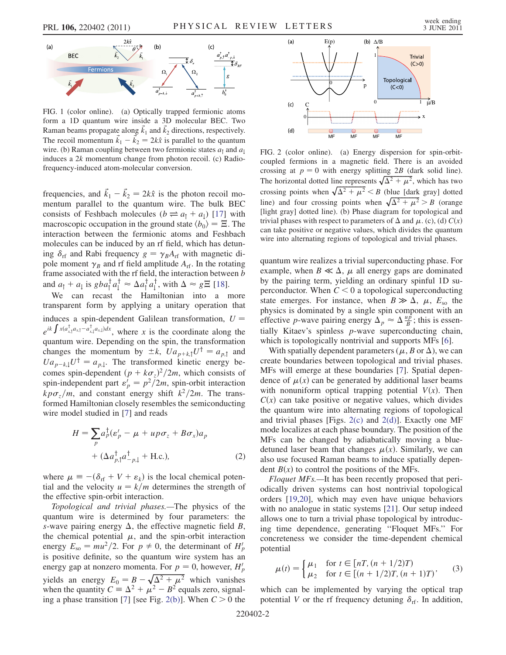<span id="page-1-0"></span>

<span id="page-1-1"></span>FIG. 1 (color online). (a) Optically trapped fermionic atoms form a 1D quantum wire inside a 3D molecular BEC. Two Raman beams propagate along  $\vec{k}_1$  and  $\vec{k}_2$  directions, respectively. The recoil momentum  $\vec{k}_1 - \vec{k}_2 = 2k\hat{x}$  is parallel to the quantum wire (b) Raman coupling between two fermionic states  $a_k$  and  $a_k$ wire. (b) Raman coupling between two fermionic states  $a_1$  and  $a_1$ induces a  $2k$  momentum change from photon recoil. (c) Radiofrequency-induced atom-molecular conversion.

frequencies, and  $\vec{k}_1 - \vec{k}_2 = 2k\hat{x}$  is the photon recoil mo-<br>mentum parallel to the quantum wire. The bulk RFC mentum parallel to the quantum wire. The bulk BEC consists of Feshbach molecules ( $b \rightleftharpoons a_1 + a_1$ ) [\[17\]](#page-3-15) with macroscopic occupation in the ground state  $\langle b_0 \rangle = \Xi$ . The interaction between the fermionic atoms and Feshbach molecules can be induced by an rf field, which has detuning  $\delta_{\rm rf}$  and Rabi frequency  $g = \gamma_B A_{\rm rf}$  with magnetic di-<br>pole moment  $\gamma$  and rf field amplitude  $A_{\rm cl}$ . In the rotating pole moment  $\gamma_B$  and rf field amplitude  $A_{\text{rf}}$ . In the rotating frame associated with the rf field, the interaction between h frame associated with the rf field, the interaction between b and  $a_{\uparrow} + a_{\downarrow}$  is  $gba_{\uparrow}^{\dagger}a_{\downarrow}^{\dagger} \approx \Delta a_{\uparrow}^{\dagger}a_{\downarrow}^{\dagger}$ , with  $\Delta \approx gE$  [[18](#page-3-16)].

We can recast the Hamiltonian into a more transparent form by applying a unitary operation that induces a spin-dependent Galilean transformation,  $U =$  $e^{ik \int x(a_{x,\uparrow}^\dagger a_{x,\uparrow} - a_{x,\downarrow}^\dagger a_{x,\downarrow})dx}$ , where x is the coordinate along the quantum wire. Depending on the spin, the transformation changes the momentum by  $\pm k$ ,  $Ua_{p+k,1}U^{\dagger} = a_{p,1}$  and  $Ua_{p-k,1}U^{\dagger} = a_{p,1}$ . The transformed kinetic energy becomes spin-dependent  $(p + k\sigma_z)^2/2m$ , which consists of spin-independent part  $s' = p^2/2m$  spin-orbit interaction spin-independent part  $\varepsilon_p' = p^2/2m$ , spin-orbit interaction<br>kpg /m, and constant energy shift  $k^2/2m$ . The trans $k p \sigma_z/m$ , and constant energy shift  $k^2/2m$ . The transformed Hamiltonian closely resembles the semiconducting wire model studied in [[7](#page-3-6)] and reads

<span id="page-1-3"></span>
$$
H = \sum_{p} a_p^{\dagger} (\varepsilon_p' - \mu + u p \sigma_z + B \sigma_x) a_p
$$
  
+  $(\Delta a_{p,1}^{\dagger} a_{-p,1}^{\dagger} + \text{H.c.}),$  (2)

where  $\mu \equiv -(\delta_{\text{rf}} + V + \varepsilon_k)$  is the local chemical potential and the velocity  $u = k/m$  determines the strength of the effective spin-orbit interaction.

Topological and trivial phases.—The physics of the quantum wire is determined by four parameters: the s-wave pairing energy  $\Delta$ , the effective magnetic field B, the chemical potential  $\mu$ , and the spin-orbit interaction energy  $E_{so} = mu^2/2$ . For  $p \neq 0$ , the determinant of  $H'_p$ <br>is positive definite, so the quantum wire system has an is positive definite, so the quantum wire system has an energy gap at nonzero momenta. For  $p = 0$ , however,  $H'_p$ yields an energy  $E_0 = B - \sqrt{\Delta^2 + \mu^2}$  which vanishes<br>when the quantity  $C = \Delta^2 + \mu^2 - B^2$  equals zero, signalwhen the quantity  $C = \Delta^2 + \mu^2 - B^2$  equals zero, signal-<br>ing a phase transition [7] [see Fig. 2(b)]. When  $C > 0$  the ing a phase transition [\[7](#page-3-6)] [see Fig. [2\(b\)](#page-1-2)]. When  $C > 0$  the



<span id="page-1-2"></span>FIG. 2 (color online). (a) Energy dispersion for spin-orbitcoupled fermions in a magnetic field. There is an avoided crossing at  $p = 0$  with energy splitting 2B (dark solid line). The horizontal dotted line represents  $\sqrt{\Delta^2 + \mu^2}$ , which has two areasing noints when  $\sqrt{\Delta^2 + \mu^2} \leq R$ , thus Ideals areal dotted crossing points when  $\sqrt{\Delta^2 + \mu^2} < B$  (blue [dark gray] dotted<br>line) and four grassing neints when  $\sqrt{\Delta^2 + \mu^2} > B$  (grange line) and four crossing points when  $\sqrt{\Delta^2 + \mu^2} > B$  (orange<br>Hight gravel dotted line) (b) Phase diagram for topological and [light gray] dotted line). (b) Phase diagram for topological and trivial phases with respect to parameters of  $\Delta$  and  $\mu$ . (c), (d)  $C(x)$ can take positive or negative values, which divides the quantum wire into alternating regions of topological and trivial phases.

quantum wire realizes a trivial superconducting phase. For example, when  $B \ll \Delta$ ,  $\mu$  all energy gaps are dominated by the pairing term, yielding an ordinary spinful 1D superconductor. When  $C < 0$  a topological superconducting state emerges. For instance, when  $B \gg \Delta$ ,  $\mu$ ,  $E_{so}$  the physics is dominated by a single spin component with an effective *p*-wave pairing energy  $\Delta_p \approx \Delta \frac{u \vec{p}}{B}$ ; this is essentially Kitaev's spinless *p*-wave superconducting chain tially Kitaev's spinless p-wave superconducting chain, which is topologically nontrivial and supports MFs [[6](#page-3-5)].

With spatially dependent parameters ( $\mu$ , B or  $\Delta$ ), we can create boundaries between topological and trivial phases. MFs will emerge at these boundaries [\[7](#page-3-6)]. Spatial dependence of  $\mu(x)$  can be generated by additional laser beams with nonuniform optical trapping potential  $V(x)$ . Then  $C(x)$  can take positive or negative values, which divides the quantum wire into alternating regions of topological and trivial phases [Figs.  $2(c)$  and  $2(d)$ ]. Exactly one MF mode localizes at each phase boundary. The position of the MFs can be changed by adiabatically moving a bluedetuned laser beam that changes  $\mu(x)$ . Similarly, we can also use focused Raman beams to induce spatially dependent  $B(x)$  to control the positions of the MFs.

Floquet MFs.—It has been recently proposed that periodically driven systems can host nontrivial topological orders [\[19](#page-3-17)[,20\]](#page-3-18), which may even have unique behaviors with no analogue in static systems [[21](#page-3-19)]. Our setup indeed allows one to turn a trivial phase topological by introducing time dependence, generating ''Floquet MFs.'' For concreteness we consider the time-dependent chemical potential

$$
\mu(t) = \begin{cases} \mu_1 & \text{for } t \in [n, (n + 1/2)T) \\ \mu_2 & \text{for } t \in [(n + 1/2)T, (n + 1)T) \end{cases}
$$
 (3)

which can be implemented by varying the optical trap potential V or the rf frequency detuning  $\delta_{\text{rf}}$ . In addition,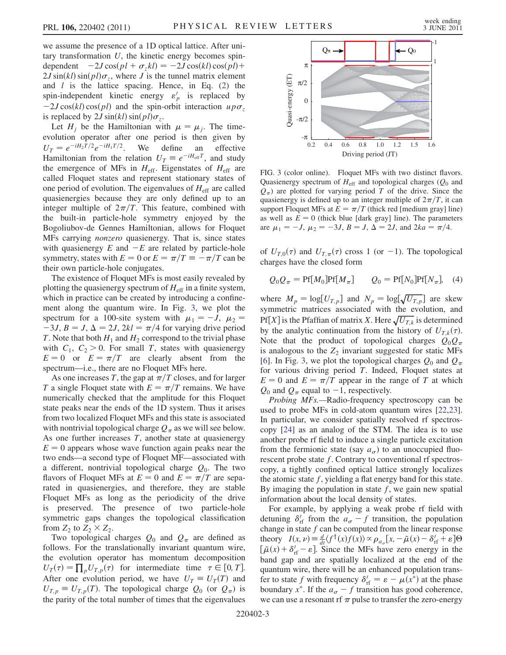we assume the presence of a 1D optical lattice. After unitary transformation  $U$ , the kinetic energy becomes spindependent  $-2J\cos\left(\frac{pl}{\tau}t\right) = -2J\cos\left(\frac{kl}{\tau}\right)\cos\left(\frac{pl}{\tau}\right) +$  $2J\sin(kl)\sin(pl)\sigma_z$ , where J is the tunnel matrix element and  $l$  is the lattice spacing. Hence, in Eq. [\(2\)](#page-1-3) the spin-independent kinetic energy  $\varepsilon'_{p}$  is replaced by  $-2J\cos(kl)\cos(pl)$  and the spin-orbit interaction up $\sigma_z$ is replaced by  $2J \sin(kl) \sin(pl) \sigma_z$ .

Let  $H_i$  be the Hamiltonian with  $\mu = \mu_i$ . The timeevolution operator after one period is then given by  $U_T = e^{-iH_2T/2}e^{-iH_1T/2}$ . We define an effective Hamiltonian from the relation  $U_T \equiv e^{-iH_{\text{eff}}T}$ , and study the emergence of MFs in  $H_{\text{eff}}$ . Eigenstates of  $H_{\text{eff}}$  are called Floquet states and represent stationary states of one period of evolution. The eigenvalues of  $H_{\text{eff}}$  are called quasienergies because they are only defined up to an integer multiple of  $2\pi/T$ . This feature, combined with the built-in particle-hole symmetry enjoyed by the Bogoliubov-de Gennes Hamiltonian, allows for Floquet MFs carrying nonzero quasienergy. That is, since states with quasienergy  $E$  and  $-E$  are related by particle-hole symmetry, states with  $E = 0$  or  $E = \pi/T \equiv -\pi/T$  can be their own particle-hole conjugates.

The existence of Floquet MFs is most easily revealed by plotting the quasienergy spectrum of  $H_{\text{eff}}$  in a finite system, which in practice can be created by introducing a confinement along the quantum wire. In Fig. [3](#page-2-0), we plot the spectrum for a 100-site system with  $\mu_1 = -J$ ,  $\mu_2 =$  $-3J$ ,  $B = J$ ,  $\Delta = 2J$ ,  $2kl = \pi/4$  for varying drive period T. Note that both  $H_1$  and  $H_2$  correspond to the trivial phase with  $C_1$ ,  $C_2 > 0$ . For small T, states with quasienergy  $E = 0$  or  $E = \pi/T$  are clearly absent from the spectrum—i.e., there are no Floquet MFs here.

As one increases T, the gap at  $\pi/T$  closes, and for larger T a single Floquet state with  $E = \pi/T$  remains. We have numerically checked that the amplitude for this Floquet state peaks near the ends of the 1D system. Thus it arises from two localized Floquet MFs and this state is associated with nontrivial topological charge  $Q_{\pi}$  as we will see below. As one further increases  $T$ , another state at quasienergy  $E = 0$  appears whose wave function again peaks near the two ends—a second type of Floquet MF—associated with a different, nontrivial topological charge  $Q_0$ . The two flavors of Floquet MFs at  $E = 0$  and  $E = \pi/T$  are separated in quasienergies, and therefore, they are stable Floquet MFs as long as the periodicity of the drive is preserved. The presence of two particle-hole symmetric gaps changes the topological classification from  $Z_2$  to  $Z_2 \times Z_2$ .

Two topological charges  $Q_0$  and  $Q_{\pi}$  are defined as follows. For the translationally invariant quantum wire, the evolution operator has momentum decomposition  $U_T(\tau) = \prod_p U_{T,p}(\tau)$  for intermediate time  $\tau \in [0, T]$ . After one evolution period, we have  $U_T \equiv U_T(T)$  and  $U_{T,p} \equiv U_{T,p}(T)$ . The topological charge  $Q_0$  (or  $Q_{\pi}$ ) is the parity of the total number of times that the eigenvalues

<span id="page-2-0"></span>

FIG. 3 (color online). Floquet MFs with two distinct flavors. Quasienergy spectrum of  $H_{\text{eff}}$  and topological charges ( $Q_0$  and  $Q_{\pi}$ ) are plotted for varying period T of the drive. Since the quasienergy is defined up to an integer multiple of  $2\pi/T$ , it can support Floquet MFs at  $E = \pi/T$  (thick red [medium gray] line) as well as  $E = 0$  (thick blue [dark gray] line). The parameters are  $\mu_1 = -J$ ,  $\mu_2 = -3J$ ,  $B = J$ ,  $\Delta = 2J$ , and  $2ka = \pi/4$ .

of  $U_{T,0}(\tau)$  and  $U_{T,\pi}(\tau)$  cross 1 (or -1). The topological charges have the closed form

$$
Q_0 Q_\pi = \text{Pf}[M_0] \text{Pf}[M_\pi] \qquad Q_0 = \text{Pf}[N_0] \text{Pf}[N_\pi], \quad (4)
$$

where  $M_p = \log[U_{T,p}]$  and  $N_p = \log[\sqrt{U_{T,p}}]$  are skew symmetric matrices associated with the evolution, and Pf[X] is the Pfaffian of matrix X. Here  $\sqrt{U_{T,k}}$  is determined<br>by the analytic continuation from the history of  $U_{T,k}(\tau)$ by the analytic continuation from the history of  $U_{T,k}(\tau)$ . Note that the product of topological charges  $Q_0Q_\pi$ is analogous to the  $Z_2$  invariant suggested for static MFs [\[6\]](#page-3-5). In Fig. [3,](#page-2-0) we plot the topological charges  $Q_0$  and  $Q_{\pi}$ for various driving period T. Indeed, Floquet states at  $E = 0$  and  $E = \pi/T$  appear in the range of T at which  $Q_0$  and  $Q_\pi$  equal to  $-1$ , respectively.

Probing MFs.—Radio-frequency spectroscopy can be used to probe MFs in cold-atom quantum wires [\[22,](#page-3-20)[23\]](#page-3-21). In particular, we consider spatially resolved rf spectroscopy [\[24\]](#page-3-22) as an analog of the STM. The idea is to use another probe rf field to induce a single particle excitation from the fermionic state (say  $a_{\sigma}$ ) to an unoccupied fluorescent probe state  $f$ . Contrary to conventional rf spectroscopy, a tightly confined optical lattice strongly localizes the atomic state  $f$ , yielding a flat energy band for this state. By imaging the population in state  $f$ , we gain new spatial information about the local density of states.

For example, by applying a weak probe rf field with detuning  $\delta'_{\text{rf}}$  from the  $a_{\sigma} - f$  transition, the population<br>change in state f can be computed from the linear response change in state  $f$  can be computed from the linear response theory  $I(x, \nu) \equiv \frac{d}{dt} \langle f^{\dagger}(x) f(x) \rangle \propto \rho_{a_{\sigma}} [x, -\tilde{\mu}(x) - \delta'_{\text{rf}} + \varepsilon] \Theta$  $[\tilde{\mu}(x) + \delta'_{\text{rf}} - \varepsilon]$ . Since the MFs have zero energy in the hand gap and are spatially localized at the end of the band gap and are spatially localized at the end of the quantum wire, there will be an enhanced population transfer to state f with frequency  $\delta'_{rf} = \varepsilon - \mu(x^*)$  at the phase<br>boundary  $x^*$ . If the  $a = f$  transition has good coherence boundary  $x^*$ . If the  $a_{\sigma} - f$  transition has good coherence, we can use a resonant rf  $\pi$  pulse to transfer the zero-energy